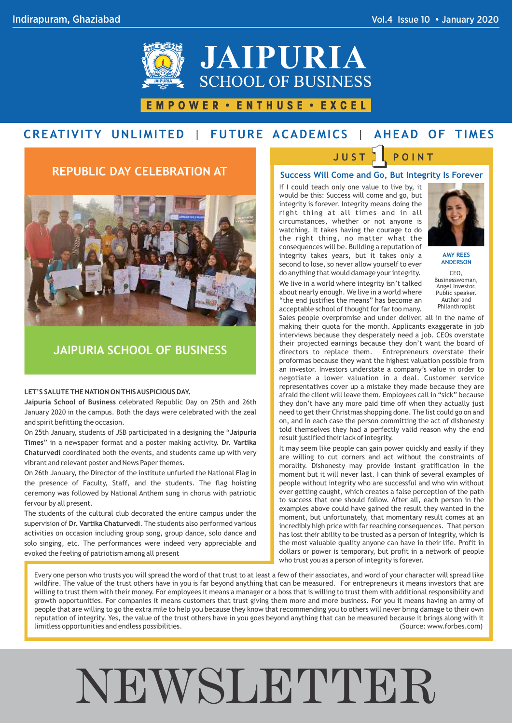

## **CREATIVITY UNLIMITED** | **FUTURE ACADEMICS** | **AHEAD OF TIMES**

## **REPUBLIC DAY CELEBRATION AT**



## **JAIPURIA SCHOOL OF BUSINESS**

#### **LET'S SALUTE THE NATION ON THIS AUSPICIOUS DAY.**

**Jaipuria School of Business** celebrated Republic Day on 25th and 26th January 2020 in the campus. Both the days were celebrated with the zeal and spirit befitting the occasion.

On 25th January, students of JSB participated in a designing the "**Jaipuria Times**" in a newspaper format and a poster making activity. **Dr. Vartika Chaturvedi** coordinated both the events, and students came up with very vibrant and relevant poster and News Paper themes.

On 26th January, the Director of the institute unfurled the National Flag in the presence of Faculty, Staff, and the students. The flag hoisting ceremony was followed by National Anthem sung in chorus with patriotic fervour by all present.

The students of the cultural club decorated the entire campus under the supervision of **Dr. Vartika Chaturvedi**. The students also performed various activities on occasion including group song, group dance, solo dance and solo singing, etc. The performances were indeed very appreciable and evoked the feeling of patriotism among all present

#### **1 <sup>P</sup> <sup>O</sup> <sup>I</sup> <sup>N</sup> <sup>T</sup> J U S T**

#### **Success Will Come and Go, But Integrity Is Forever**

If I could teach only one value to live by, it would be this: Success will come and go, but integrity is forever. Integrity means doing the right thing at all times and in all circumstances, whether or not anyone is watching. It takes having the courage to do the right thing, no matter what the consequences will be. Building a reputation of integrity takes years, but it takes only a second to lose, so never allow yourself to ever do anything that would damage your integrity. We live in a world where integrity isn't talked about nearly enough. We live in a world where "the end justifies the means" has become an

acceptable school of thought for far too many.



**AMY REES ANDERSON** CEO, Businesswoman,

Angel Investor, Public speaker. Author and Philanthropist

Sales people overpromise and under deliver, all in the name of making their quota for the month. Applicants exaggerate in job interviews because they desperately need a job. CEOs overstate their projected earnings because they don't want the board of directors to replace them. Entrepreneurs overstate their proformas because they want the highest valuation possible from an investor. Investors understate a company's value in order to negotiate a lower valuation in a deal. Customer service representatives cover up a mistake they made because they are afraid the client will leave them. Employees call in "sick" because they don't have any more paid time off when they actually just need to get their Christmas shopping done. The list could go on and on, and in each case the person committing the act of dishonesty told themselves they had a perfectly valid reason why the end result justified their lack of integrity.

It may seem like people can gain power quickly and easily if they are willing to cut corners and act without the constraints of morality. Dishonesty may provide instant gratification in the moment but it will never last. I can think of several examples of people without integrity who are successful and who win without ever getting caught, which creates a false perception of the path to success that one should follow. After all, each person in the examples above could have gained the result they wanted in the moment, but unfortunately, that momentary result comes at an incredibly high price with far reaching consequences. That person has lost their ability to be trusted as a person of integrity, which is the most valuable quality anyone can have in their life. Profit in dollars or power is temporary, but profit in a network of people who trust you as a person of integrity is forever.

Every one person who trusts you will spread the word of that trust to at least a few of their associates, and word of your character will spread like wildfire. The value of the trust others have in you is far beyond anything that can be measured. For entrepreneurs it means investors that are willing to trust them with their money. For employees it means a manager or a boss that is willing to trust them with additional responsibility and growth opportunities. For companies it means customers that trust giving them more and more business. For you it means having an army of people that are willing to go the extra mile to help you because they know that recommending you to others will never bring damage to their own reputation of integrity. Yes, the value of the trust others have in you goes beyond anything that can be measured because it brings along with it limitless opportunities and endless possibilities. (Source: www.forbes.com)

# NEWSLETTER.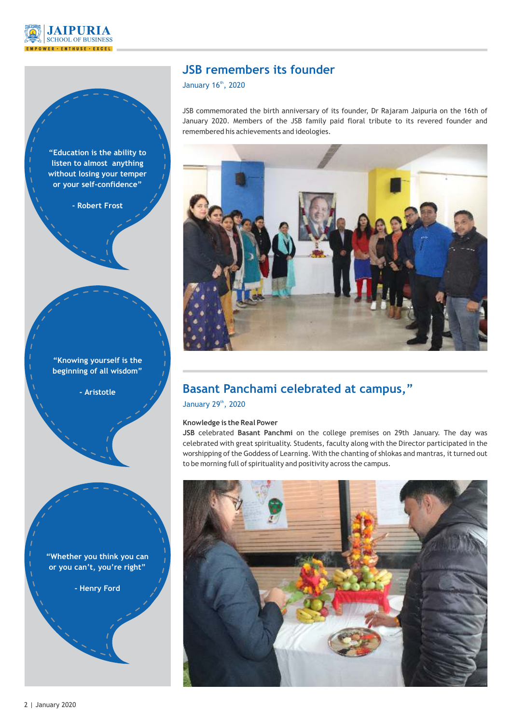

**"Education is the ability to listen to almost anything without losing your temper or your self-confidence"**

**- Robert Frost**

**"Knowing yourself is the beginning of all wisdom"**

**- Aristotle**

**"Whether you think you can or you can't, you're right"**

**- Henry Ford**

## **JSB remembers its founder**

January 16<sup>th</sup>, 2020

JSB commemorated the birth anniversary of its founder, Dr Rajaram Jaipuria on the 16th of January 2020. Members of the JSB family paid floral tribute to its revered founder and remembered his achievements and ideologies.



## **Basant Panchami celebrated at campus,"**

January 29th, 2020

### **Knowledge is the Real Power**

**JSB** celebrated **Basant Panchmi** on the college premises on 29th January. The day was celebrated with great spirituality. Students, faculty along with the Director participated in the worshipping of the Goddess of Learning. With the chanting of shlokas and mantras, it turned out to be morning full of spirituality and positivity across the campus.

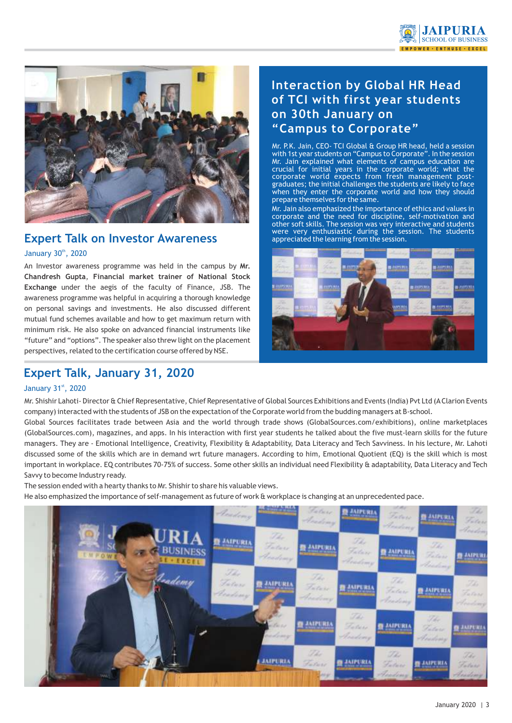



## **Expert Talk on Investor Awareness**

#### January 30th, 2020

An Investor awareness programme was held in the campus by **Mr. Chandresh Gupta**, **Financial market trainer of National Stock Exchange** under the aegis of the faculty of Finance, JSB. The awareness programme was helpful in acquiring a thorough knowledge on personal savings and investments. He also discussed different mutual fund schemes available and how to get maximum return with minimum risk. He also spoke on advanced financial instruments like "future" and "options". The speaker also threw light on the placement perspectives, related to the certification course offered by NSE.

## **Expert Talk, January 31, 2020**

#### January 31st, 2020

## **Interaction by Global HR Head of TCI with first year students on 30th January on "Campus to Corporate"**

Mr. P.K. Jain, CEO- TCI Global & Group HR head, held a session with 1st year students on "Campus to Corporate". In the session Mr. Jain explained what elements of campus education are crucial for initial years in the corporate world; what the corporate world expects from fresh management postgraduates; the initial challenges the students are likely to face when they enter the corporate world and how they should prepare themselves for the same.

Mr. Jain also emphasized the importance of ethics and values in corporate and the need for discipline, self-motivation and other soft skills. The session was very interactive and students were very enthusiastic during the session. The students appreciated the learning from the session.



Mr. Shishir Lahoti- Director & Chief Representative, Chief Representative of Global Sources Exhibitions and Events (India) Pvt Ltd (AClarion Events company) interacted with the students of JSB on the expectation of the Corporate world from the budding managers at B-school.

Global Sources facilitates trade between Asia and the world through trade shows (GlobalSources.com/exhibitions), online marketplaces (GlobalSources.com), magazines, and apps. In his interaction with first year students he talked about the five must-learn skills for the future managers. They are - Emotional Intelligence, Creativity, Flexibility & Adaptability, Data Literacy and Tech Savviness. In his lecture, Mr. Lahoti discussed some of the skills which are in demand wrt future managers. According to him, Emotional Quotient (EQ) is the skill which is most important in workplace. EQ contributes 70-75% of success. Some other skills an individual need Flexibility & adaptability, Data Literacy and Tech Savvy to become Industry ready.

The session ended with a hearty thanks to Mr. Shishir to share his valuable views.

He also emphasized the importance of self-management as future of work & workplace is changing at an unprecedented pace.